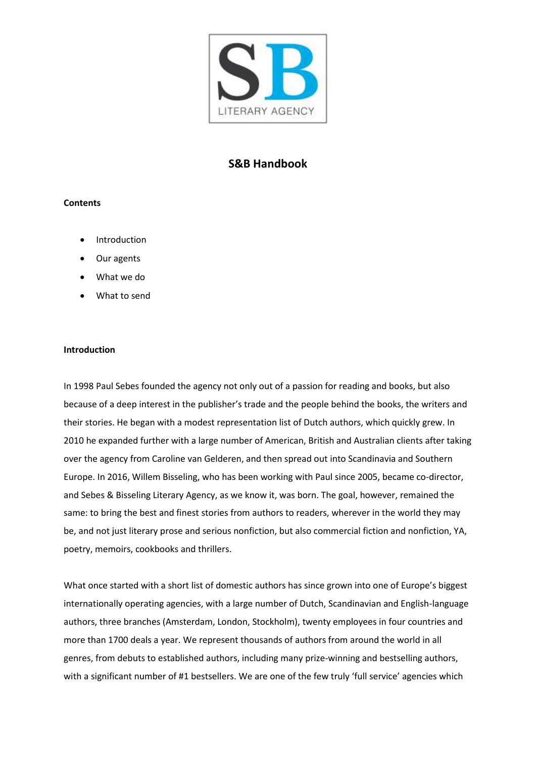

# **S&B Handbook**

#### **Contents**

- **Introduction**
- Our agents
- What we do
- What to send

#### **Introduction**

In 1998 Paul Sebes founded the agency not only out of a passion for reading and books, but also because of a deep interest in the publisher's trade and the people behind the books, the writers and their stories. He began with a modest representation list of Dutch authors, which quickly grew. In 2010 he expanded further with a large number of American, British and Australian clients after taking over the agency from Caroline van Gelderen, and then spread out into Scandinavia and Southern Europe. In 2016, Willem Bisseling, who has been working with Paul since 2005, became co-director, and Sebes & Bisseling Literary Agency, as we know it, was born. The goal, however, remained the same: to bring the best and finest stories from authors to readers, wherever in the world they may be, and not just literary prose and serious nonfiction, but also commercial fiction and nonfiction, YA, poetry, memoirs, cookbooks and thrillers.

What once started with a short list of domestic authors has since grown into one of Europe's biggest internationally operating agencies, with a large number of Dutch, Scandinavian and English-language authors, three branches (Amsterdam, London, Stockholm), twenty employees in four countries and more than 1700 deals a year. We represent thousands of authors from around the world in all genres, from debuts to established authors, including many prize-winning and bestselling authors, with a significant number of #1 bestsellers. We are one of the few truly 'full service' agencies which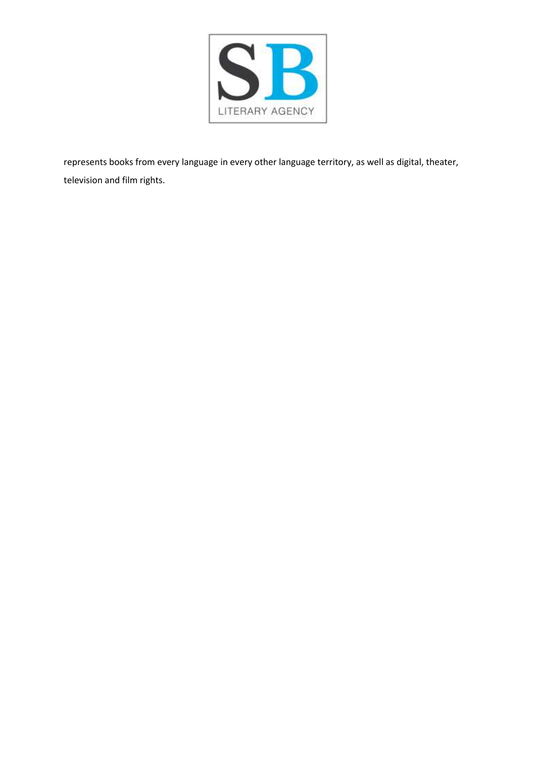

represents books from every language in every other language territory, as well as digital, theater, television and film rights.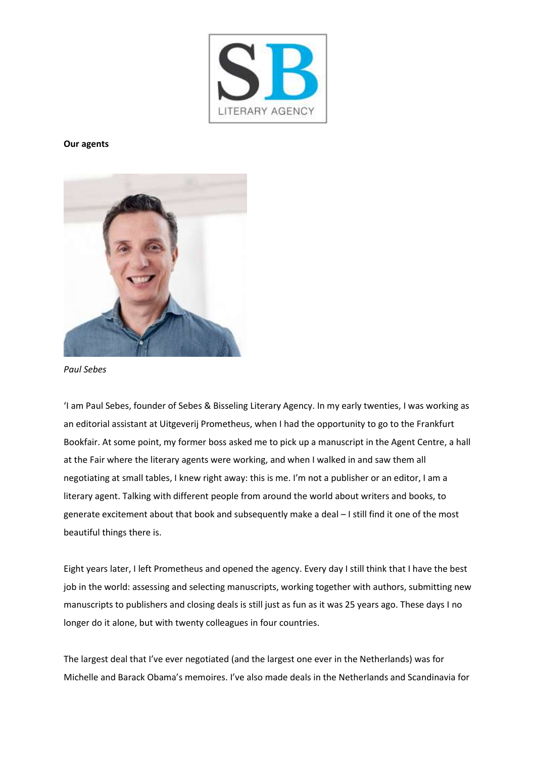

#### **Our agents**



*Paul Sebes*

'I am Paul Sebes, founder of Sebes & Bisseling Literary Agency. In my early twenties, I was working as an editorial assistant at Uitgeverij Prometheus, when I had the opportunity to go to the Frankfurt Bookfair. At some point, my former boss asked me to pick up a manuscript in the Agent Centre, a hall at the Fair where the literary agents were working, and when I walked in and saw them all negotiating at small tables, I knew right away: this is me. I'm not a publisher or an editor, I am a literary agent. Talking with different people from around the world about writers and books, to generate excitement about that book and subsequently make a deal – I still find it one of the most beautiful things there is.

Eight years later, I left Prometheus and opened the agency. Every day I still think that I have the best job in the world: assessing and selecting manuscripts, working together with authors, submitting new manuscripts to publishers and closing deals is still just as fun as it was 25 years ago. These days I no longer do it alone, but with twenty colleagues in four countries.

The largest deal that I've ever negotiated (and the largest one ever in the Netherlands) was for Michelle and Barack Obama's memoires. I've also made deals in the Netherlands and Scandinavia for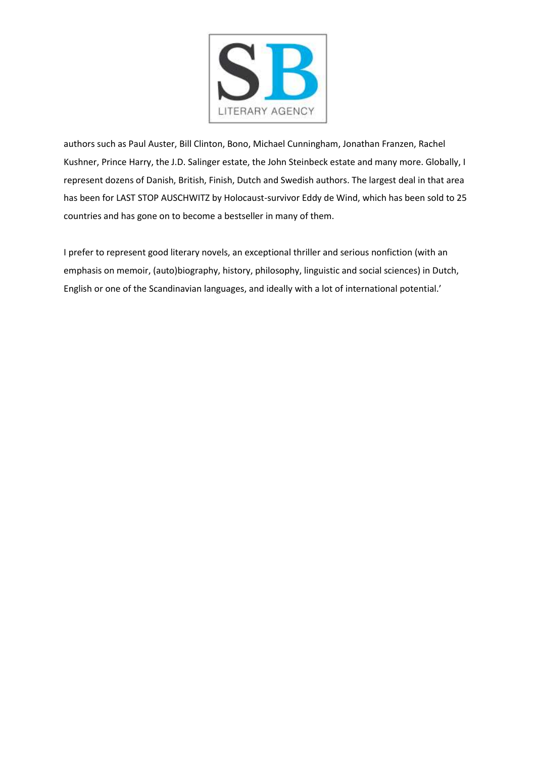

authors such as Paul Auster, Bill Clinton, Bono, Michael Cunningham, Jonathan Franzen, Rachel Kushner, Prince Harry, the J.D. Salinger estate, the John Steinbeck estate and many more. Globally, I represent dozens of Danish, British, Finish, Dutch and Swedish authors. The largest deal in that area has been for LAST STOP AUSCHWITZ by Holocaust-survivor Eddy de Wind, which has been sold to 25 countries and has gone on to become a bestseller in many of them.

I prefer to represent good literary novels, an exceptional thriller and serious nonfiction (with an emphasis on memoir, (auto)biography, history, philosophy, linguistic and social sciences) in Dutch, English or one of the Scandinavian languages, and ideally with a lot of international potential.'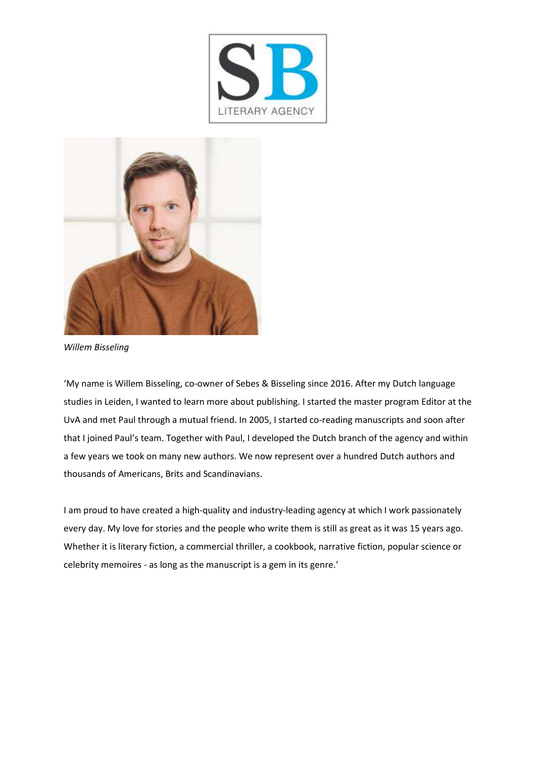



*Willem Bisseling*

'My name is Willem Bisseling, co-owner of Sebes & Bisseling since 2016. After my Dutch language studies in Leiden, I wanted to learn more about publishing. I started the master program Editor at the UvA and met Paul through a mutual friend. In 2005, I started co-reading manuscripts and soon after that I joined Paul's team. Together with Paul, I developed the Dutch branch of the agency and within a few years we took on many new authors. We now represent over a hundred Dutch authors and thousands of Americans, Brits and Scandinavians.

I am proud to have created a high-quality and industry-leading agency at which I work passionately every day. My love for stories and the people who write them is still as great as it was 15 years ago. Whether it is literary fiction, a commercial thriller, a cookbook, narrative fiction, popular science or celebrity memoires - as long as the manuscript is a gem in its genre.'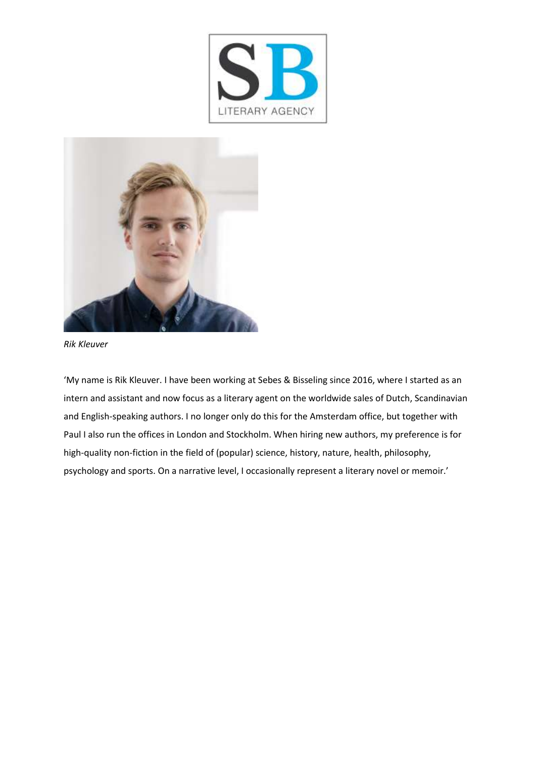



*Rik Kleuver*

'My name is Rik Kleuver. I have been working at Sebes & Bisseling since 2016, where I started as an intern and assistant and now focus as a literary agent on the worldwide sales of Dutch, Scandinavian and English-speaking authors. I no longer only do this for the Amsterdam office, but together with Paul I also run the offices in London and Stockholm. When hiring new authors, my preference is for high-quality non-fiction in the field of (popular) science, history, nature, health, philosophy, psychology and sports. On a narrative level, I occasionally represent a literary novel or memoir.'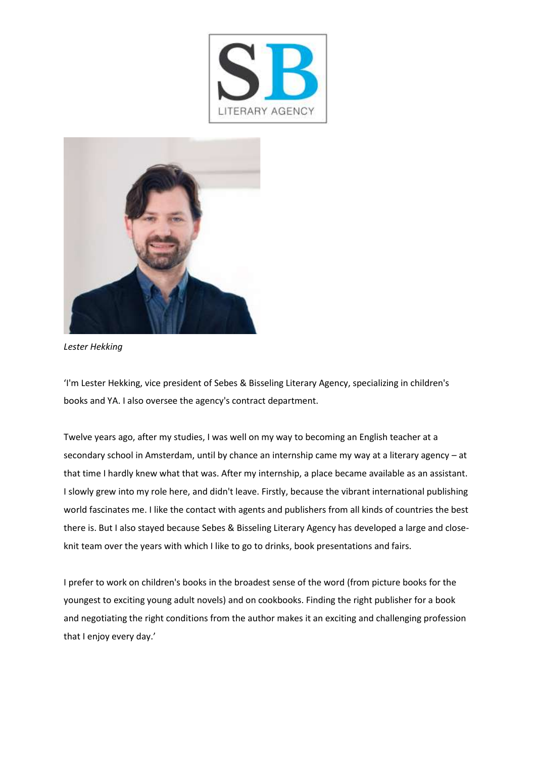



*Lester Hekking*

'I'm Lester Hekking, vice president of Sebes & Bisseling Literary Agency, specializing in children's books and YA. I also oversee the agency's contract department.

Twelve years ago, after my studies, I was well on my way to becoming an English teacher at a secondary school in Amsterdam, until by chance an internship came my way at a literary agency – at that time I hardly knew what that was. After my internship, a place became available as an assistant. I slowly grew into my role here, and didn't leave. Firstly, because the vibrant international publishing world fascinates me. I like the contact with agents and publishers from all kinds of countries the best there is. But I also stayed because Sebes & Bisseling Literary Agency has developed a large and closeknit team over the years with which I like to go to drinks, book presentations and fairs.

I prefer to work on children's books in the broadest sense of the word (from picture books for the youngest to exciting young adult novels) and on cookbooks. Finding the right publisher for a book and negotiating the right conditions from the author makes it an exciting and challenging profession that I enjoy every day.'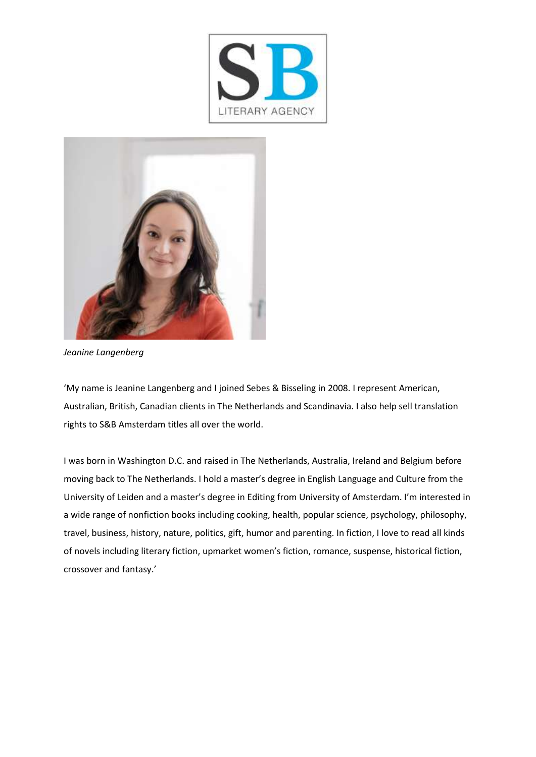



*Jeanine Langenberg*

'My name is Jeanine Langenberg and I joined Sebes & Bisseling in 2008. I represent American, Australian, British, Canadian clients in The Netherlands and Scandinavia. I also help sell translation rights to S&B Amsterdam titles all over the world.

I was born in Washington D.C. and raised in The Netherlands, Australia, Ireland and Belgium before moving back to The Netherlands. I hold a master's degree in English Language and Culture from the University of Leiden and a master's degree in Editing from University of Amsterdam. I'm interested in a wide range of nonfiction books including cooking, health, popular science, psychology, philosophy, travel, business, history, nature, politics, gift, humor and parenting. In fiction, I love to read all kinds of novels including literary fiction, upmarket women's fiction, romance, suspense, historical fiction, crossover and fantasy.'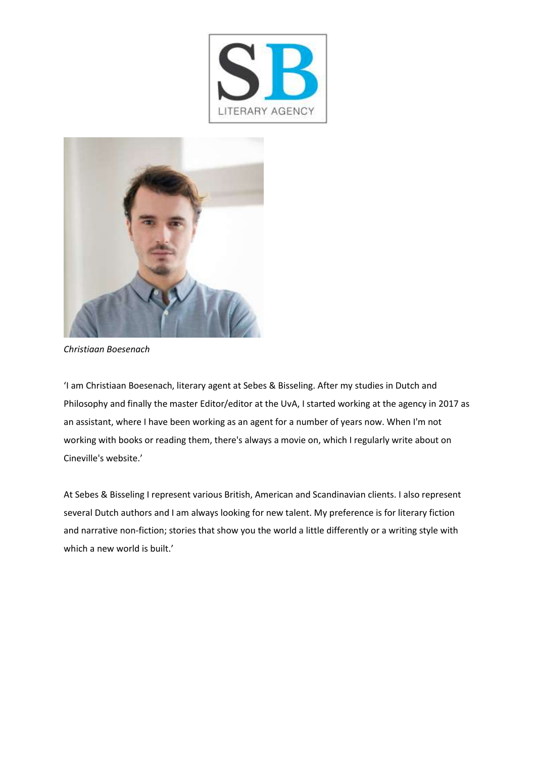



*Christiaan Boesenach*

'I am Christiaan Boesenach, literary agent at Sebes & Bisseling. After my studies in Dutch and Philosophy and finally the master Editor/editor at the UvA, I started working at the agency in 2017 as an assistant, where I have been working as an agent for a number of years now. When I'm not working with books or reading them, there's always a movie on, which I regularly write about on Cineville's website.'

At Sebes & Bisseling I represent various British, American and Scandinavian clients. I also represent several Dutch authors and I am always looking for new talent. My preference is for literary fiction and narrative non-fiction; stories that show you the world a little differently or a writing style with which a new world is built.'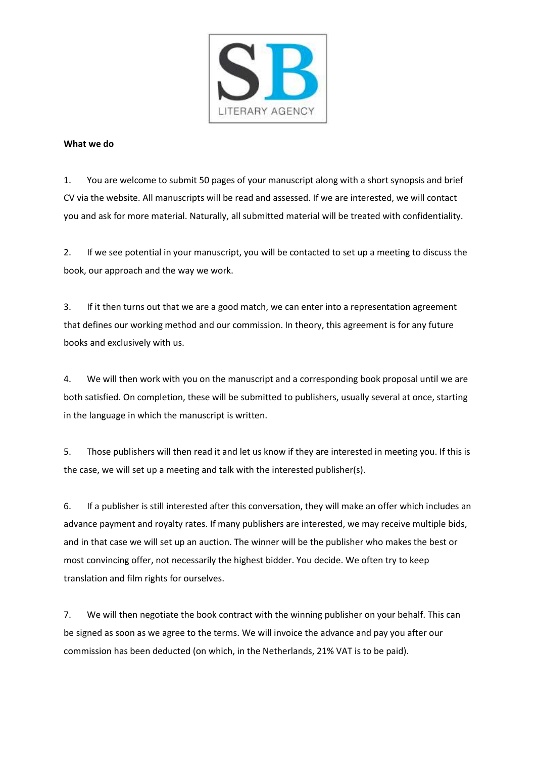

## **What we do**

1. You are welcome to submit 50 pages of your manuscript along with a short synopsis and brief CV via the website. All manuscripts will be read and assessed. If we are interested, we will contact you and ask for more material. Naturally, all submitted material will be treated with confidentiality.

2. If we see potential in your manuscript, you will be contacted to set up a meeting to discuss the book, our approach and the way we work.

3. If it then turns out that we are a good match, we can enter into a representation agreement that defines our working method and our commission. In theory, this agreement is for any future books and exclusively with us.

4. We will then work with you on the manuscript and a corresponding book proposal until we are both satisfied. On completion, these will be submitted to publishers, usually several at once, starting in the language in which the manuscript is written.

5. Those publishers will then read it and let us know if they are interested in meeting you. If this is the case, we will set up a meeting and talk with the interested publisher(s).

6. If a publisher is still interested after this conversation, they will make an offer which includes an advance payment and royalty rates. If many publishers are interested, we may receive multiple bids, and in that case we will set up an auction. The winner will be the publisher who makes the best or most convincing offer, not necessarily the highest bidder. You decide. We often try to keep translation and film rights for ourselves.

7. We will then negotiate the book contract with the winning publisher on your behalf. This can be signed as soon as we agree to the terms. We will invoice the advance and pay you after our commission has been deducted (on which, in the Netherlands, 21% VAT is to be paid).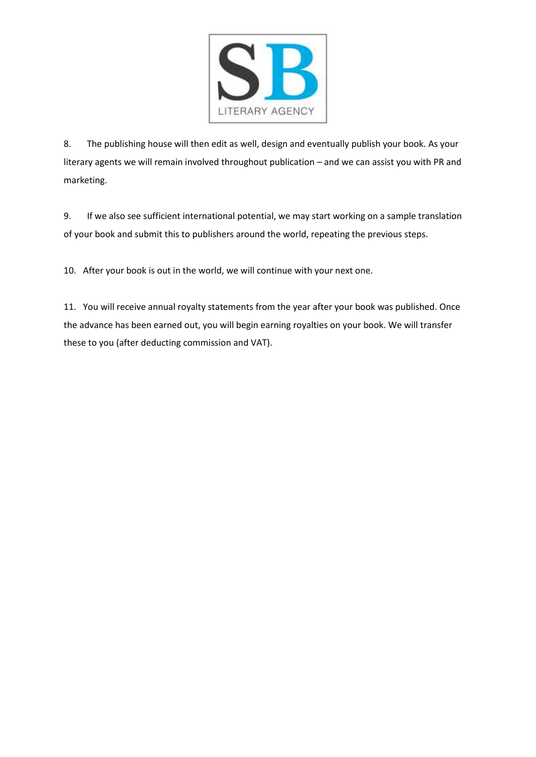

8. The publishing house will then edit as well, design and eventually publish your book. As your literary agents we will remain involved throughout publication – and we can assist you with PR and marketing.

9. If we also see sufficient international potential, we may start working on a sample translation of your book and submit this to publishers around the world, repeating the previous steps.

10. After your book is out in the world, we will continue with your next one.

11. You will receive annual royalty statements from the year after your book was published. Once the advance has been earned out, you will begin earning royalties on your book. We will transfer these to you (after deducting commission and VAT).